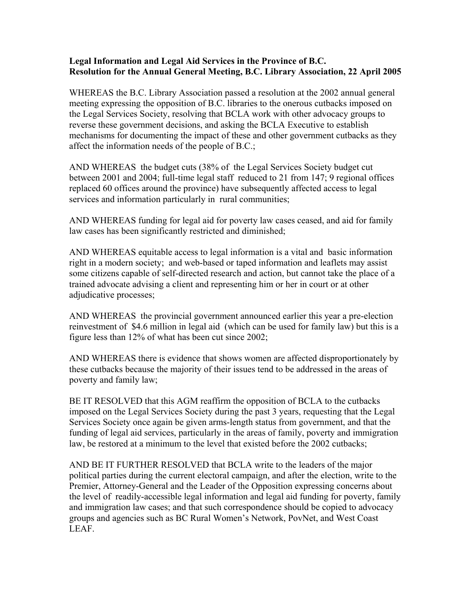## **Legal Information and Legal Aid Services in the Province of B.C. Resolution for the Annual General Meeting, B.C. Library Association, 22 April 2005**

WHEREAS the B.C. Library Association passed a resolution at the 2002 annual general meeting expressing the opposition of B.C. libraries to the onerous cutbacks imposed on the Legal Services Society, resolving that BCLA work with other advocacy groups to reverse these government decisions, and asking the BCLA Executive to establish mechanisms for documenting the impact of these and other government cutbacks as they affect the information needs of the people of B.C.;

AND WHEREAS the budget cuts (38% of the Legal Services Society budget cut between 2001 and 2004; full-time legal staff reduced to 21 from 147; 9 regional offices replaced 60 offices around the province) have subsequently affected access to legal services and information particularly in rural communities;

AND WHEREAS funding for legal aid for poverty law cases ceased, and aid for family law cases has been significantly restricted and diminished;

AND WHEREAS equitable access to legal information is a vital and basic information right in a modern society; and web-based or taped information and leaflets may assist some citizens capable of self-directed research and action, but cannot take the place of a trained advocate advising a client and representing him or her in court or at other adjudicative processes;

AND WHEREAS the provincial government announced earlier this year a pre-election reinvestment of \$4.6 million in legal aid (which can be used for family law) but this is a figure less than 12% of what has been cut since 2002;

AND WHEREAS there is evidence that shows women are affected disproportionately by these cutbacks because the majority of their issues tend to be addressed in the areas of poverty and family law;

BE IT RESOLVED that this AGM reaffirm the opposition of BCLA to the cutbacks imposed on the Legal Services Society during the past 3 years, requesting that the Legal Services Society once again be given arms-length status from government, and that the funding of legal aid services, particularly in the areas of family, poverty and immigration law, be restored at a minimum to the level that existed before the 2002 cutbacks;

AND BE IT FURTHER RESOLVED that BCLA write to the leaders of the major political parties during the current electoral campaign, and after the election, write to the Premier, Attorney-General and the Leader of the Opposition expressing concerns about the level of readily-accessible legal information and legal aid funding for poverty, family and immigration law cases; and that such correspondence should be copied to advocacy groups and agencies such as BC Rural Women's Network, PovNet, and West Coast LEAF.